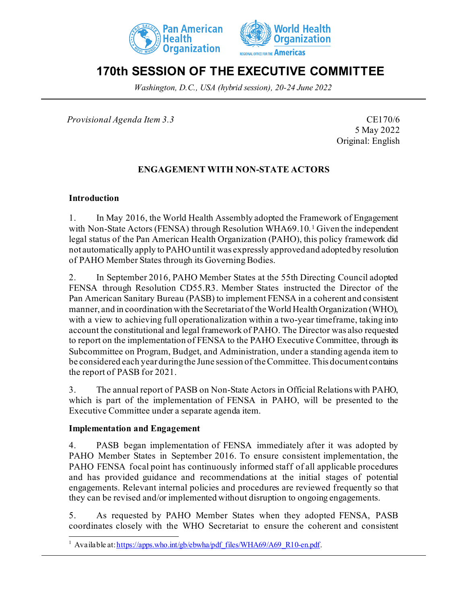



# **170th SESSION OF THE EXECUTIVE COMMITTEE**

*Washington, D.C., USA (hybrid session), 20-24 June 2022*

*Provisional Agenda Item 3.3* CE170/6

5 May 2022 Original: English

## **ENGAGEMENT WITH NON-STATE ACTORS**

### **Introduction**

1. In May 2016, the World Health Assembly adopted the Framework of Engagement with Non-State Actors (FENSA) through Resolution WHA69.[1](#page-0-0)0.<sup>1</sup> Given the independent legal status of the Pan American Health Organization (PAHO), this policy framework did not automatically apply to PAHO until it was expressly approved and adopted by resolution of PAHO Member States through its Governing Bodies.

2. In September 2016, PAHO Member States at the 55th Directing Council adopted FENSA through Resolution CD55.R3. Member States instructed the Director of the Pan American Sanitary Bureau (PASB) to implement FENSA in a coherent and consistent manner, and in coordination with the Secretariat of the World Health Organization (WHO), with a view to achieving full operationalization within a two-year timeframe, taking into account the constitutional and legal framework of PAHO. The Director was also requested to report on the implementation of FENSA to the PAHO Executive Committee, through its Subcommittee on Program, Budget, and Administration, under a standing agenda item to be considered each year during the June session of the Committee. This document contains the report of PASB for 2021.

3. The annual report of PASB on Non-State Actors in Official Relations with PAHO, which is part of the implementation of FENSA in PAHO, will be presented to the Executive Committee under a separate agenda item.

#### **Implementation and Engagement**

4. PASB began implementation of FENSA immediately after it was adopted by PAHO Member States in September 2016. To ensure consistent implementation, the PAHO FENSA focal point has continuously informed staff of all applicable procedures and has provided guidance and recommendations at the initial stages of potential engagements. Relevant internal policies and procedures are reviewed frequently so that they can be revised and/or implemented without disruption to ongoing engagements.

5. As requested by PAHO Member States when they adopted FENSA, PASB coordinates closely with the WHO Secretariat to ensure the coherent and consistent

<span id="page-0-0"></span><sup>&</sup>lt;sup>1</sup> Available at[: https://apps.who.int/gb/ebwha/pdf\\_files/WHA69/A69\\_R10-en.pdf](https://nam12.safelinks.protection.outlook.com/?url=https%3A%2F%2Fapps.who.int%2Fgb%2Febwha%2Fpdf_files%2FWHA69%2FA69_R10-en.pdf&data=05%7C01%7Csolorzamar%40paho.org%7C9b9e9d29be07474752ed08da3291080e%7Ce610e79c2ec04e0f8a141e4b101519f7%7C0%7C0%7C637877895739710509%7CUnknown%7CTWFpbGZsb3d8eyJWIjoiMC4wLjAwMDAiLCJQIjoiV2luMzIiLCJBTiI6Ik1haWwiLCJXVCI6Mn0%3D%7C3000%7C%7C%7C&sdata=J7MbBCY7TAspHSvlWUtzLlcViGaZ7Mc4D5GqcbMwTMk%3D&reserved=0).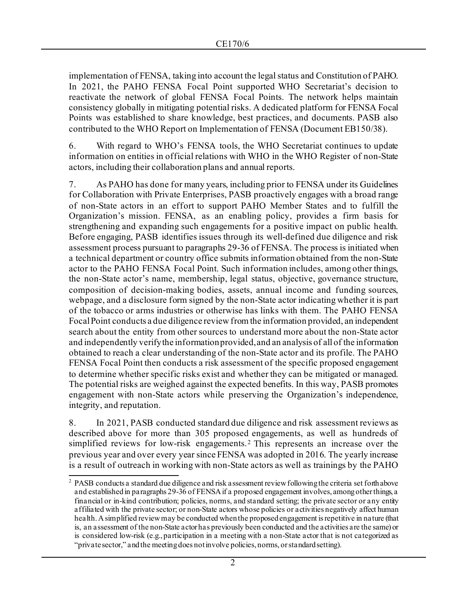implementation of FENSA, taking into account the legal status and Constitution of PAHO. In 2021, the PAHO FENSA Focal Point supported WHO Secretariat's decision to reactivate the network of global FENSA Focal Points. The network helps maintain consistency globally in mitigating potential risks. A dedicated platform for FENSA Focal Points was established to share knowledge, best practices, and documents. PASB also contributed to the WHO Report on Implementation of FENSA (Document EB150/38).

6. With regard to WHO's FENSA tools, the WHO Secretariat continues to update information on entities in official relations with WHO in the WHO Register of non-State actors, including their collaboration plans and annual reports.

7. As PAHO has done for many years, including prior to FENSA under its Guidelines for Collaboration with Private Enterprises, PASB proactively engages with a broad range of non-State actors in an effort to support PAHO Member States and to fulfill the Organization's mission. FENSA, as an enabling policy, provides a firm basis for strengthening and expanding such engagements for a positive impact on public health. Before engaging, PASB identifies issues through its well-defined due diligence and risk assessment process pursuant to paragraphs 29-36 of FENSA. The process is initiated when a technical department or country office submits information obtained from the non-State actor to the PAHO FENSA Focal Point. Such information includes, among other things, the non-State actor's name, membership, legal status, objective, governance structure, composition of decision-making bodies, assets, annual income and funding sources, webpage, and a disclosure form signed by the non-State actor indicating whether it is part of the tobacco or arms industries or otherwise has links with them. The PAHO FENSA Focal Point conducts a due diligence review from the information provided, an independent search about the entity from other sources to understand more about the non-State actor and independently verify the information provided, and an analysis of all of the information obtained to reach a clear understanding of the non-State actor and its profile. The PAHO FENSA Focal Point then conducts a risk assessment of the specific proposed engagement to determine whether specific risks exist and whether they can be mitigated or managed. The potential risks are weighed against the expected benefits. In this way, PASB promotes engagement with non-State actors while preserving the Organization's independence, integrity, and reputation.

8. In 2021, PASB conducted standard due diligence and risk assessment reviews as described above for more than 305 proposed engagements, as well as hundreds of simplified reviews for low-risk engagements.[2](#page-1-0) This represents an increase over the previous year and over every year since FENSA was adopted in 2016. The yearly increase is a result of outreach in working with non-State actors as well as trainings by the PAHO

<span id="page-1-0"></span><sup>&</sup>lt;sup>2</sup> PASB conducts a standard due diligence and risk assessment review following the criteria set forth above and established in paragraphs 29-36 of FENSA if a proposed engagement involves, among other things, a financial or in-kind contribution; policies, norms, and standard setting; the private sector or any entity affiliated with the private sector; or non-State actors whose policies or activities negatively affect human health. A simplified review may be conducted when the proposed engagement is repetitive in nature (that is, an assessment of the non-State actor has previously been conducted and the activities are the same) or is considered low-risk (e.g., participation in a meeting with a non-State actor that is not categorized as "private sector," and the meeting does not involve policies, norms, or standard setting).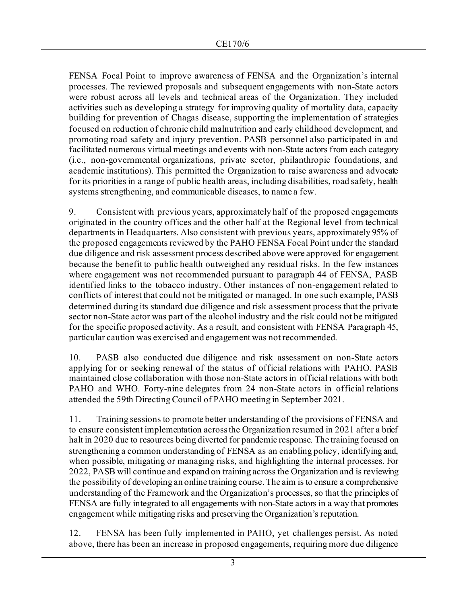FENSA Focal Point to improve awareness of FENSA and the Organization's internal processes. The reviewed proposals and subsequent engagements with non-State actors were robust across all levels and technical areas of the Organization. They included activities such as developing a strategy for improving quality of mortality data, capacity building for prevention of Chagas disease, supporting the implementation of strategies focused on reduction of chronic child malnutrition and early childhood development, and promoting road safety and injury prevention. PASB personnel also participated in and facilitated numerous virtual meetings and events with non-State actors from each category (i.e., non-governmental organizations, private sector, philanthropic foundations, and academic institutions). This permitted the Organization to raise awareness and advocate for its priorities in a range of public health areas, including disabilities, road safety, health systems strengthening, and communicable diseases, to name a few.

9. Consistent with previous years, approximately half of the proposed engagements originated in the country offices and the other half at the Regional level from technical departments in Headquarters. Also consistent with previous years, approximately 95% of the proposed engagements reviewed by the PAHO FENSA Focal Point under the standard due diligence and risk assessment process described above were approved for engagement because the benefit to public health outweighed any residual risks. In the few instances where engagement was not recommended pursuant to paragraph 44 of FENSA, PASB identified links to the tobacco industry. Other instances of non-engagement related to conflicts of interest that could not be mitigated or managed. In one such example, PASB determined during its standard due diligence and risk assessment process that the private sector non-State actor was part of the alcohol industry and the risk could not be mitigated for the specific proposed activity. As a result, and consistent with FENSA Paragraph 45, particular caution was exercised and engagement was not recommended.

10. PASB also conducted due diligence and risk assessment on non-State actors applying for or seeking renewal of the status of official relations with PAHO. PASB maintained close collaboration with those non-State actors in official relations with both PAHO and WHO. Forty-nine delegates from 24 non-State actors in official relations attended the 59th Directing Council of PAHO meeting in September 2021.

11. Training sessions to promote better understanding of the provisions of FENSA and to ensure consistent implementation across the Organization resumed in 2021 after a brief halt in 2020 due to resources being diverted for pandemic response. The training focused on strengthening a common understanding of FENSA as an enabling policy, identifying and, when possible, mitigating or managing risks, and highlighting the internal processes. For 2022, PASB will continue and expand on training across the Organization and is reviewing the possibility of developing an online training course. The aim is to ensure a comprehensive understanding of the Framework and the Organization's processes, so that the principles of FENSA are fully integrated to all engagements with non-State actors in a way that promotes engagement while mitigating risks and preserving the Organization's reputation.

12. FENSA has been fully implemented in PAHO, yet challenges persist. As noted above, there has been an increase in proposed engagements, requiring more due diligence